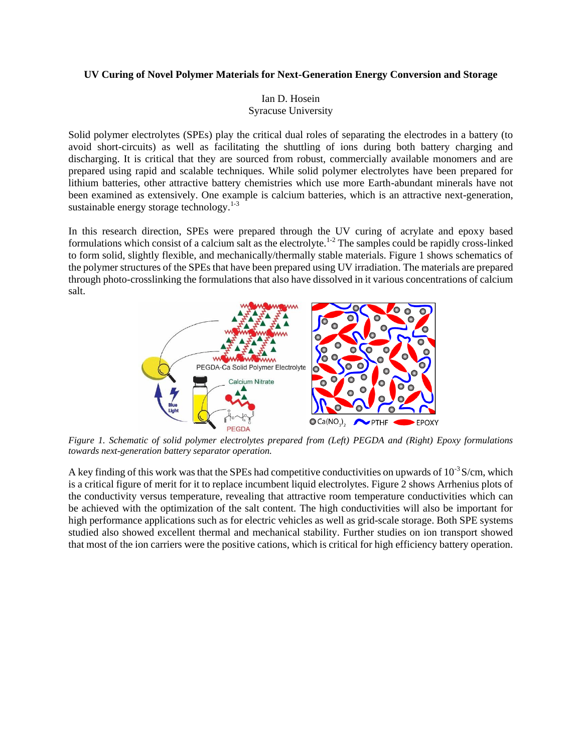## **UV Curing of Novel Polymer Materials for Next-Generation Energy Conversion and Storage**

Ian D. Hosein Syracuse University

Solid polymer electrolytes (SPEs) play the critical dual roles of separating the electrodes in a battery (to avoid short-circuits) as well as facilitating the shuttling of ions during both battery charging and discharging. It is critical that they are sourced from robust, commercially available monomers and are prepared using rapid and scalable techniques. While solid polymer electrolytes have been prepared for lithium batteries, other attractive battery chemistries which use more Earth-abundant minerals have not been examined as extensively. One example is calcium batteries, which is an attractive next-generation, sustainable energy storage technology. $1-3$ 

In this research direction, SPEs were prepared through the UV curing of acrylate and epoxy based formulations which consist of a calcium salt as the electrolyte.<sup>1-2</sup> The samples could be rapidly cross-linked to form solid, slightly flexible, and mechanically/thermally stable materials. Figure 1 shows schematics of the polymer structures of the SPEs that have been prepared using UV irradiation. The materials are prepared through photo-crosslinking the formulations that also have dissolved in it various concentrations of calcium salt.



*Figure 1. Schematic of solid polymer electrolytes prepared from (Left) PEGDA and (Right) Epoxy formulations towards next-generation battery separator operation.*

A key finding of this work was that the SPEs had competitive conductivities on upwards of  $10^{-3}$  S/cm, which is a critical figure of merit for it to replace incumbent liquid electrolytes. Figure 2 shows Arrhenius plots of the conductivity versus temperature, revealing that attractive room temperature conductivities which can be achieved with the optimization of the salt content. The high conductivities will also be important for high performance applications such as for electric vehicles as well as grid-scale storage. Both SPE systems studied also showed excellent thermal and mechanical stability. Further studies on ion transport showed that most of the ion carriers were the positive cations, which is critical for high efficiency battery operation.